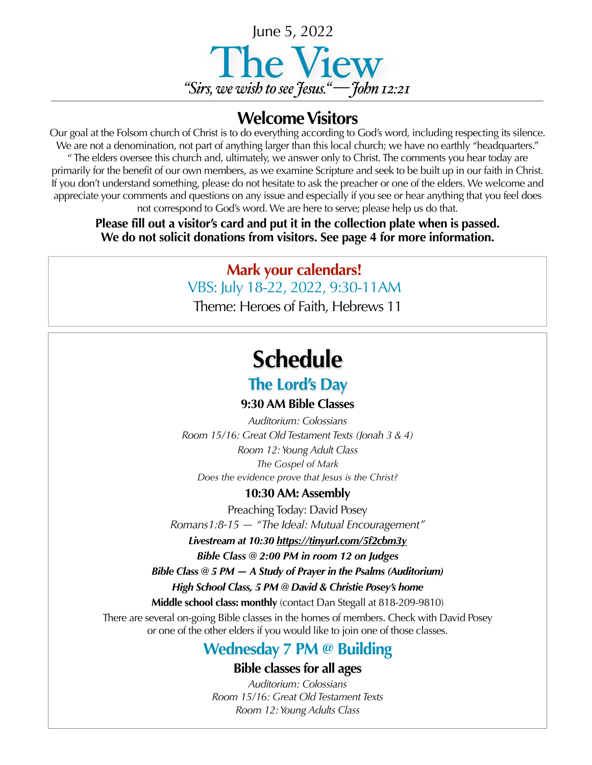

### **Welcome Visitors**

Our goal at the Folsom church of Christ is to do everything according to God's word, including respecting its silence. We are not a denomination, not part of anything larger than this local church; we have no earthly "headquarters." " The elders oversee this church and, ultimately, we answer only to Christ. The comments you hear today are primarily for the benefit of our own members, as we examine Scripture and seek to be built up in our faith in Christ. If you don't understand something, please do not hesitate to ask the preacher or one of the elders. We welcome and appreciate your comments and questions on any issue and especially if you see or hear anything that you feel does not correspond to God's word. We are here to serve; please help us do that.

**Please fill out a visitor's card and put it in the collection plate when is passed. We do not solicit donations from visitors. See page 4 for more information.**

> **Mark your calendars!** VBS: July 18-22, 2022, 9:30-11AM

Theme: Heroes of Faith, Hebrews 11

# **Schedule**

### **The Lord's Day**

### **9:30 AM Bible Classes**

*Auditorium: Colossians Room 15/16: Great Old Testament Texts (Jonah 3 & 4) Room 12: Young Adult Class The Gospel of Mark Does the evidence prove that Jesus is the Christ?*

### **10:30 AM: Assembly**

Preaching Today: David Posey *Romans1:8-15 — "The Ideal: Mutual Encouragement"*

*Livestream at 10:30<https://tinyurl.com/5f2cbm3y>*

*Bible Class @ 2:00 PM in room 12 on Judges*

*Bible Class @ 5 PM — A Study of Prayer in the Psalms (Auditorium) High School Class, 5 PM @ David & Christie Posey's home* 

**Middle school class: monthly** (contact Dan Stegall at 818-209-9810)

There are several on-going Bible classes in the homes of members. Check with David Posey or one of the other elders if you would like to join one of those classes.

## **Wednesday 7 PM @ Building**

**Bible classes for all ages**

*Auditorium: Colossians Room 15/16: Great Old Testament Texts Room 12: Young Adults Class*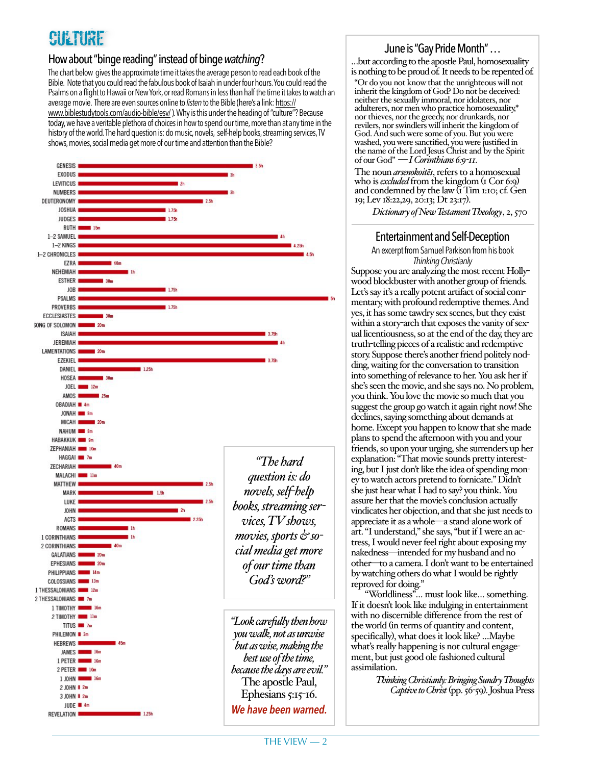## Culture

#### How about "binge reading" instead of binge *watching*?

The chart below gives the approximate time it takes the average person to read each book of the Bible. Note that you could read the fabulous book of Isaiah in under four hours. You could read the Psalms on a flight to Hawaii or New York, or read Romans in less than half the time it takes to watch an average movie. There are even sources online to *listen* to the Bible (here's a link: [https://](https://www.biblestudytools.com/audio-bible/esv/) www.biblestudytools.com/audio-bible/esv/). Why is this under the heading of "culture"? Because today, we have a veritable plethora of choices in how to spend our time, more than at any time in the history of the world. The hard question is: do music, novels, self-help books, streaming services, TV shows, movies, social media get more of our time and attention than the Bible?



#### June is "Gay Pride Month" …

…but according to the apostle Paul, homosexuality is nothing to be proud of. It needs to be repented of.

"Or do you not know that the unrighteous will not inherit the kingdom of God? Do not be deceived: neither the sexually immoral, nor idolaters, nor adulterers, nor men who practice homosexuality,\* nor thieves, nor the greedy, nor drunkards, nor revilers, nor swindlers will inherit the kingdom of God. And such were some of you. But you were washed, you were sanctified, you were justified in the name of the Lord Jesus Christ and by the Spirit of our God" *— I Corinthians 6:9-11.* 

The noun *arsenokoitēs*, refers to a homosexual who is *excluded* from the kingdom ([1 Cor 6:9](bible:1Cor.6.9)) and condemned by the law  $(F$  Tim 1:10; cf. Gen [19](bible:Gen.19); [Lev 18:22,](bible:Lev.18.22)[29,](bible:Lev.18.29) [20:](bible:Lev.18.20)13; [Dt 23:17](bible:Deut.23.17)).

*Dictionary of New Testament Theology*, 2, 570

#### Entertainment and Self-Deception

An excerpt from Samuel Parkison from his book *Thinking Christianly*

Suppose you are analyzing the most recent Hollywood blockbuster with another group of friends. Let's say it's a really potent artifact of social commentary, with profound redemptive themes. And yes, it has some tawdry sex scenes, but they exist within a story-arch that exposes the vanity of sexual licentiousness, so at the end of the day, they are truth-telling pieces of a realistic and redemptive story. Suppose there's another friend politely nodding, waiting for the conversation to transition into something of relevance to her. You ask her if she's seen the movie, and she says no. No problem, you think. You love the movie so much that you suggest the group go watch it again right now! She declines, saying something about demands at home. Except you happen to know that she made plans to spend the afternoon with you and your friends, so upon your urging, she surrenders up her explanation: "That movie sounds pretty interesting, but I just don't like the idea of spending money to watch actors pretend to fornicate." Didn't she just hear what I had to say? you think. You assure her that the movie's conclusion actually vindicates her objection, and that she just needs to appreciate it as a whole—a stand-alone work of art. "I understand," she says, "but if I were an actress, I would never feel right about exposing my nakedness—intended for my husband and no other—to a camera. I don't want to be entertained by watching others do what I would be rightly reproved for doing."

"Worldliness"… must look like… something. If it doesn't look like indulging in entertainment with no discernible difference from the rest of the world (in terms of quantity and content, specifically), what does it look like? …Maybe what's really happening is not cultural engagement, but just good ole fashioned cultural assimilation.

> *Thinking Christianly: Bringing Sundry Thoughts Captive to Christ*(pp. 56-59). Joshua Press